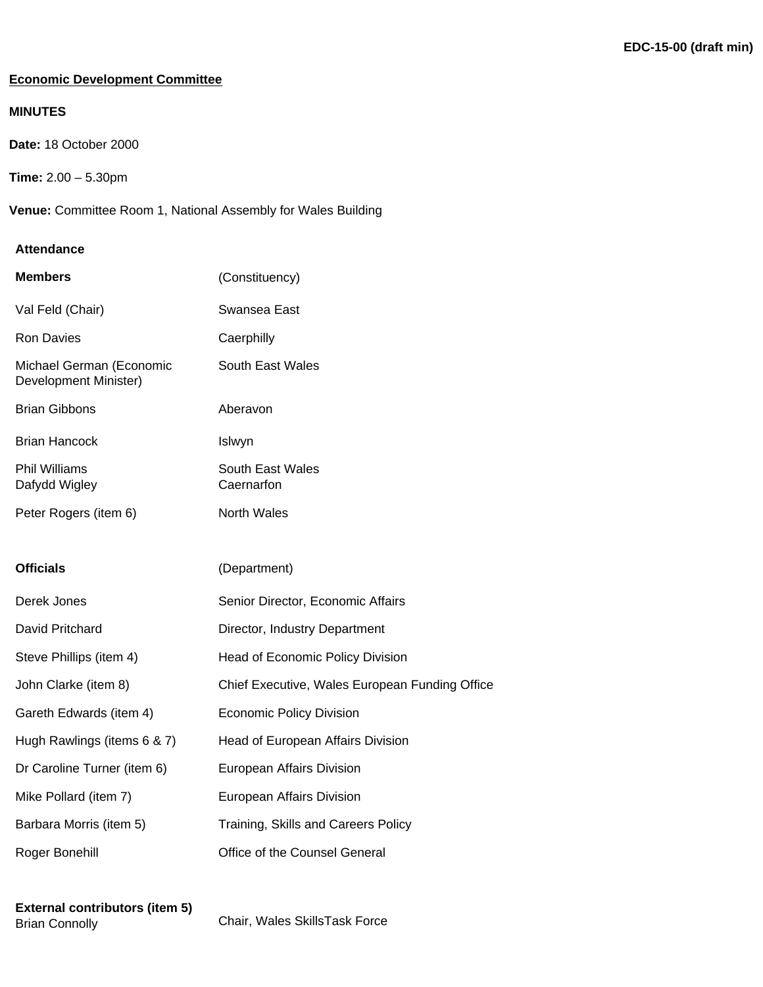### **Economic Development Committee**

### **MINUTES**

**Date:** 18 October 2000

**Time:** 2.00 – 5.30pm

**Venue:** Committee Room 1, National Assembly for Wales Building

### **Attendance**

| <b>Members</b>                                    | (Constituency)                                 |
|---------------------------------------------------|------------------------------------------------|
| Val Feld (Chair)                                  | Swansea East                                   |
| <b>Ron Davies</b>                                 | Caerphilly                                     |
| Michael German (Economic<br>Development Minister) | <b>South East Wales</b>                        |
| <b>Brian Gibbons</b>                              | Aberavon                                       |
| <b>Brian Hancock</b>                              | Islwyn                                         |
| <b>Phil Williams</b><br>Dafydd Wigley             | South East Wales<br>Caernarfon                 |
| Peter Rogers (item 6)                             | <b>North Wales</b>                             |
|                                                   |                                                |
| <b>Officials</b>                                  | (Department)                                   |
| Derek Jones                                       | Senior Director, Economic Affairs              |
| David Pritchard                                   | Director, Industry Department                  |
| Steve Phillips (item 4)                           | Head of Economic Policy Division               |
| John Clarke (item 8)                              | Chief Executive, Wales European Funding Office |
| Gareth Edwards (item 4)                           | <b>Economic Policy Division</b>                |
| Hugh Rawlings (items 6 & 7)                       | Head of European Affairs Division              |
| Dr Caroline Turner (item 6)                       | European Affairs Division                      |
| Mike Pollard (item 7)                             | European Affairs Division                      |
| Barbara Morris (item 5)                           | Training, Skills and Careers Policy            |
| Roger Bonehill                                    | Office of the Counsel General                  |
|                                                   |                                                |

**External contributors (item 5)**

Chair, Wales SkillsTask Force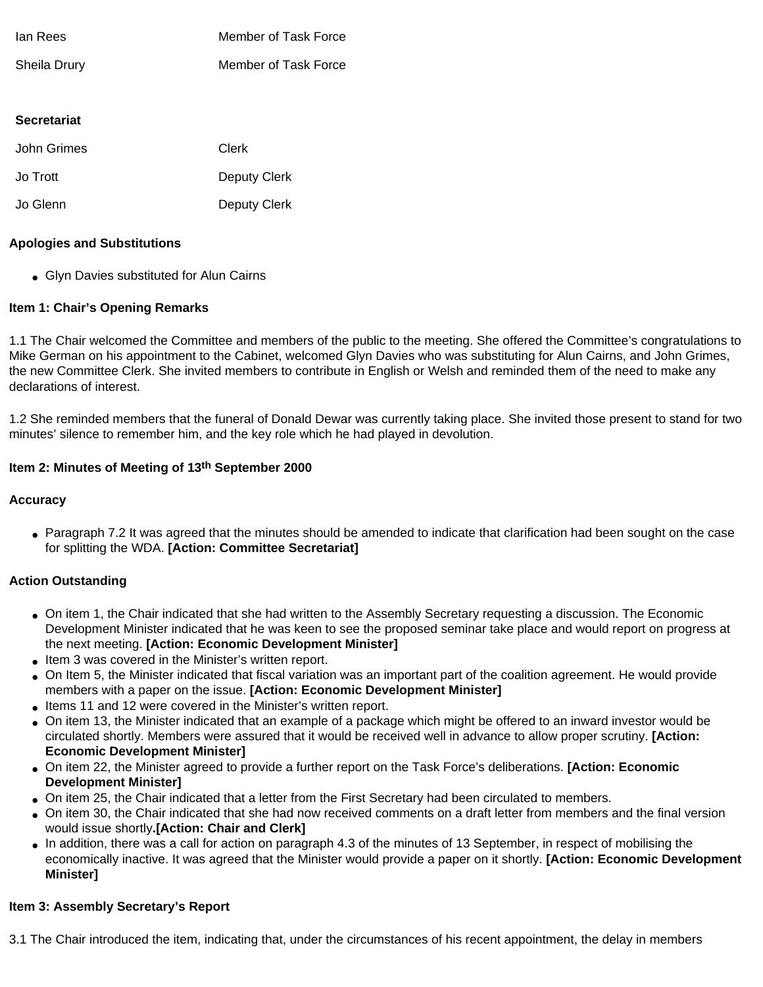| lan Rees     | Member of Task Force |
|--------------|----------------------|
| Sheila Drury | Member of Task Force |

### **Secretariat**

| John Grimes | Clerk        |
|-------------|--------------|
| Jo Trott    | Deputy Clerk |
| Jo Glenn    | Deputy Clerk |

#### **Apologies and Substitutions**

• Glyn Davies substituted for Alun Cairns

### **Item 1: Chair's Opening Remarks**

1.1 The Chair welcomed the Committee and members of the public to the meeting. She offered the Committee's congratulations to Mike German on his appointment to the Cabinet, welcomed Glyn Davies who was substituting for Alun Cairns, and John Grimes, the new Committee Clerk. She invited members to contribute in English or Welsh and reminded them of the need to make any declarations of interest.

1.2 She reminded members that the funeral of Donald Dewar was currently taking place. She invited those present to stand for two minutes' silence to remember him, and the key role which he had played in devolution.

#### **Item 2: Minutes of Meeting of 13th September 2000**

### **Accuracy**

• Paragraph 7.2 It was agreed that the minutes should be amended to indicate that clarification had been sought on the case for splitting the WDA. **[Action: Committee Secretariat]**

### **Action Outstanding**

- On item 1, the Chair indicated that she had written to the Assembly Secretary requesting a discussion. The Economic Development Minister indicated that he was keen to see the proposed seminar take place and would report on progress at the next meeting. **[Action: Economic Development Minister]**
- Item 3 was covered in the Minister's written report.
- On Item 5, the Minister indicated that fiscal variation was an important part of the coalition agreement. He would provide members with a paper on the issue. **[Action: Economic Development Minister]**
- Items 11 and 12 were covered in the Minister's written report.
- On item 13, the Minister indicated that an example of a package which might be offered to an inward investor would be circulated shortly. Members were assured that it would be received well in advance to allow proper scrutiny. **[Action: Economic Development Minister]**
- On item 22, the Minister agreed to provide a further report on the Task Force's deliberations. **[Action: Economic Development Minister]**
- On item 25, the Chair indicated that a letter from the First Secretary had been circulated to members.
- On item 30, the Chair indicated that she had now received comments on a draft letter from members and the final version would issue shortly**.[Action: Chair and Clerk]**
- In addition, there was a call for action on paragraph 4.3 of the minutes of 13 September, in respect of mobilising the economically inactive. It was agreed that the Minister would provide a paper on it shortly. **[Action: Economic Development Minister]**

### **Item 3: Assembly Secretary's Report**

3.1 The Chair introduced the item, indicating that, under the circumstances of his recent appointment, the delay in members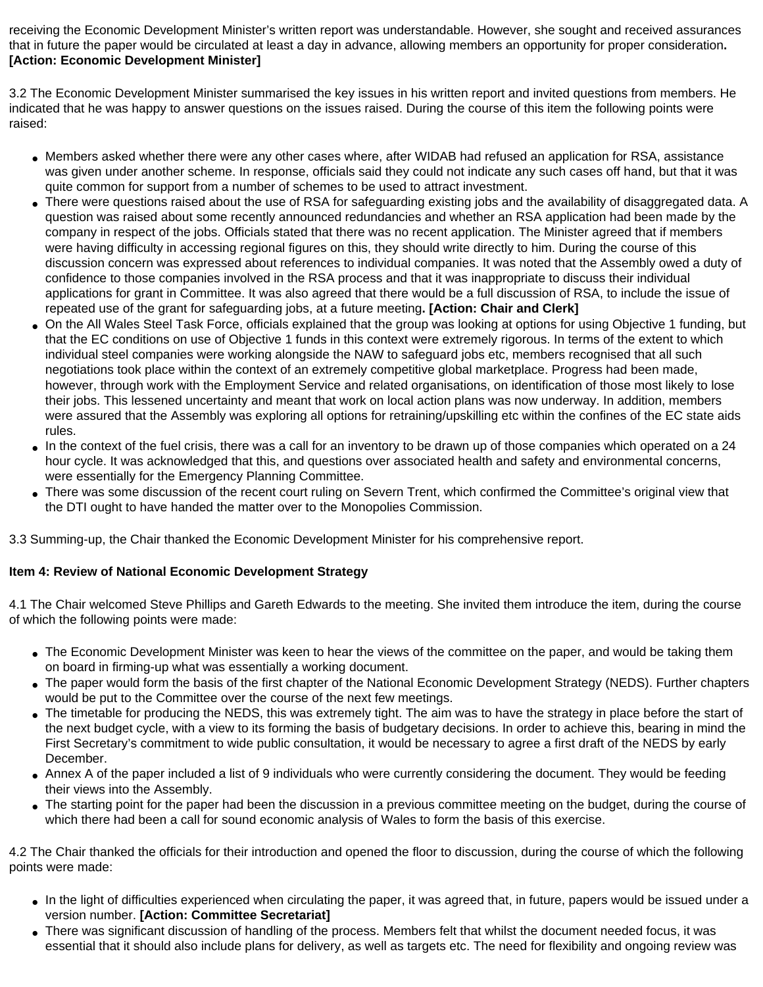receiving the Economic Development Minister's written report was understandable. However, she sought and received assurances that in future the paper would be circulated at least a day in advance, allowing members an opportunity for proper consideration**. [Action: Economic Development Minister]**

3.2 The Economic Development Minister summarised the key issues in his written report and invited questions from members. He indicated that he was happy to answer questions on the issues raised. During the course of this item the following points were raised:

- Members asked whether there were any other cases where, after WIDAB had refused an application for RSA, assistance was given under another scheme. In response, officials said they could not indicate any such cases off hand, but that it was quite common for support from a number of schemes to be used to attract investment.
- There were questions raised about the use of RSA for safeguarding existing jobs and the availability of disaggregated data. A question was raised about some recently announced redundancies and whether an RSA application had been made by the company in respect of the jobs. Officials stated that there was no recent application. The Minister agreed that if members were having difficulty in accessing regional figures on this, they should write directly to him. During the course of this discussion concern was expressed about references to individual companies. It was noted that the Assembly owed a duty of confidence to those companies involved in the RSA process and that it was inappropriate to discuss their individual applications for grant in Committee. It was also agreed that there would be a full discussion of RSA, to include the issue of repeated use of the grant for safeguarding jobs, at a future meeting**. [Action: Chair and Clerk]**
- On the All Wales Steel Task Force, officials explained that the group was looking at options for using Objective 1 funding, but that the EC conditions on use of Objective 1 funds in this context were extremely rigorous. In terms of the extent to which individual steel companies were working alongside the NAW to safeguard jobs etc, members recognised that all such negotiations took place within the context of an extremely competitive global marketplace. Progress had been made, however, through work with the Employment Service and related organisations, on identification of those most likely to lose their jobs. This lessened uncertainty and meant that work on local action plans was now underway. In addition, members were assured that the Assembly was exploring all options for retraining/upskilling etc within the confines of the EC state aids rules.
- In the context of the fuel crisis, there was a call for an inventory to be drawn up of those companies which operated on a 24 hour cycle. It was acknowledged that this, and questions over associated health and safety and environmental concerns, were essentially for the Emergency Planning Committee.
- There was some discussion of the recent court ruling on Severn Trent, which confirmed the Committee's original view that the DTI ought to have handed the matter over to the Monopolies Commission.

3.3 Summing-up, the Chair thanked the Economic Development Minister for his comprehensive report.

# **Item 4: Review of National Economic Development Strategy**

4.1 The Chair welcomed Steve Phillips and Gareth Edwards to the meeting. She invited them introduce the item, during the course of which the following points were made:

- The Economic Development Minister was keen to hear the views of the committee on the paper, and would be taking them on board in firming-up what was essentially a working document.
- The paper would form the basis of the first chapter of the National Economic Development Strategy (NEDS). Further chapters would be put to the Committee over the course of the next few meetings.
- The timetable for producing the NEDS, this was extremely tight. The aim was to have the strategy in place before the start of the next budget cycle, with a view to its forming the basis of budgetary decisions. In order to achieve this, bearing in mind the First Secretary's commitment to wide public consultation, it would be necessary to agree a first draft of the NEDS by early December.
- Annex A of the paper included a list of 9 individuals who were currently considering the document. They would be feeding their views into the Assembly.
- The starting point for the paper had been the discussion in a previous committee meeting on the budget, during the course of which there had been a call for sound economic analysis of Wales to form the basis of this exercise.

4.2 The Chair thanked the officials for their introduction and opened the floor to discussion, during the course of which the following points were made:

- In the light of difficulties experienced when circulating the paper, it was agreed that, in future, papers would be issued under a version number. **[Action: Committee Secretariat]**
- There was significant discussion of handling of the process. Members felt that whilst the document needed focus, it was essential that it should also include plans for delivery, as well as targets etc. The need for flexibility and ongoing review was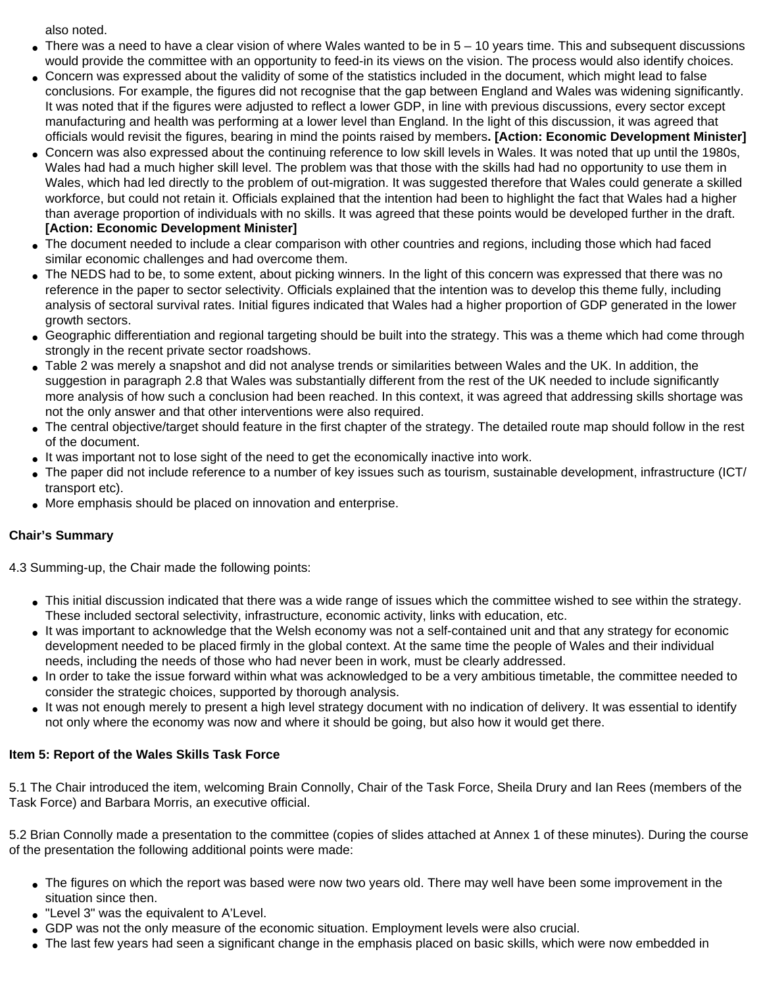also noted.

- $\bullet$  There was a need to have a clear vision of where Wales wanted to be in  $5 10$  years time. This and subsequent discussions would provide the committee with an opportunity to feed-in its views on the vision. The process would also identify choices.
- Concern was expressed about the validity of some of the statistics included in the document, which might lead to false conclusions. For example, the figures did not recognise that the gap between England and Wales was widening significantly. It was noted that if the figures were adjusted to reflect a lower GDP, in line with previous discussions, every sector except manufacturing and health was performing at a lower level than England. In the light of this discussion, it was agreed that officials would revisit the figures, bearing in mind the points raised by members**. [Action: Economic Development Minister]**
- Concern was also expressed about the continuing reference to low skill levels in Wales. It was noted that up until the 1980s, Wales had had a much higher skill level. The problem was that those with the skills had had no opportunity to use them in Wales, which had led directly to the problem of out-migration. It was suggested therefore that Wales could generate a skilled workforce, but could not retain it. Officials explained that the intention had been to highlight the fact that Wales had a higher than average proportion of individuals with no skills. It was agreed that these points would be developed further in the draft. **[Action: Economic Development Minister]**
- The document needed to include a clear comparison with other countries and regions, including those which had faced similar economic challenges and had overcome them.
- The NEDS had to be, to some extent, about picking winners. In the light of this concern was expressed that there was no reference in the paper to sector selectivity. Officials explained that the intention was to develop this theme fully, including analysis of sectoral survival rates. Initial figures indicated that Wales had a higher proportion of GDP generated in the lower growth sectors.
- Geographic differentiation and regional targeting should be built into the strategy. This was a theme which had come through strongly in the recent private sector roadshows.
- Table 2 was merely a snapshot and did not analyse trends or similarities between Wales and the UK. In addition, the suggestion in paragraph 2.8 that Wales was substantially different from the rest of the UK needed to include significantly more analysis of how such a conclusion had been reached. In this context, it was agreed that addressing skills shortage was not the only answer and that other interventions were also required.
- The central objective/target should feature in the first chapter of the strategy. The detailed route map should follow in the rest of the document.
- It was important not to lose sight of the need to get the economically inactive into work.
- The paper did not include reference to a number of key issues such as tourism, sustainable development, infrastructure (ICT/ transport etc).
- More emphasis should be placed on innovation and enterprise.

# **Chair's Summary**

4.3 Summing-up, the Chair made the following points:

- This initial discussion indicated that there was a wide range of issues which the committee wished to see within the strategy. These included sectoral selectivity, infrastructure, economic activity, links with education, etc.
- It was important to acknowledge that the Welsh economy was not a self-contained unit and that any strategy for economic development needed to be placed firmly in the global context. At the same time the people of Wales and their individual needs, including the needs of those who had never been in work, must be clearly addressed.
- In order to take the issue forward within what was acknowledged to be a very ambitious timetable, the committee needed to consider the strategic choices, supported by thorough analysis.
- It was not enough merely to present a high level strategy document with no indication of delivery. It was essential to identify not only where the economy was now and where it should be going, but also how it would get there.

### **Item 5: Report of the Wales Skills Task Force**

5.1 The Chair introduced the item, welcoming Brain Connolly, Chair of the Task Force, Sheila Drury and Ian Rees (members of the Task Force) and Barbara Morris, an executive official.

5.2 Brian Connolly made a presentation to the committee (copies of slides attached at Annex 1 of these minutes). During the course of the presentation the following additional points were made:

- The figures on which the report was based were now two years old. There may well have been some improvement in the situation since then.
- "Level 3" was the equivalent to A'Level.
- GDP was not the only measure of the economic situation. Employment levels were also crucial.
- The last few years had seen a significant change in the emphasis placed on basic skills, which were now embedded in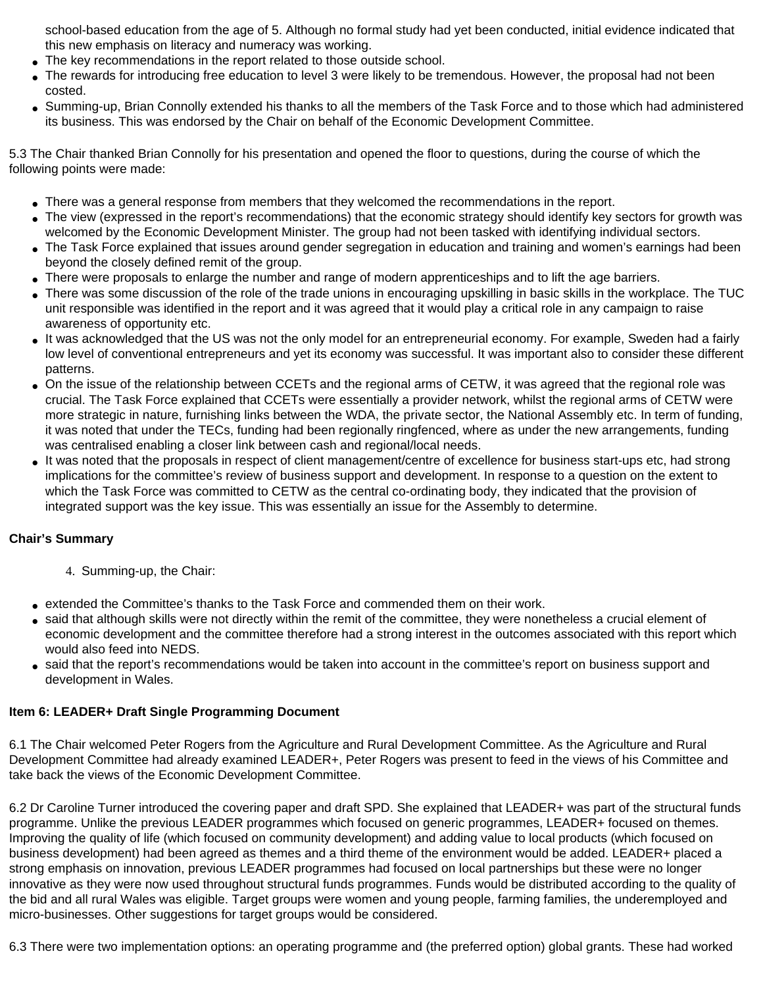school-based education from the age of 5. Although no formal study had yet been conducted, initial evidence indicated that this new emphasis on literacy and numeracy was working.

- The key recommendations in the report related to those outside school.
- The rewards for introducing free education to level 3 were likely to be tremendous. However, the proposal had not been costed.
- Summing-up, Brian Connolly extended his thanks to all the members of the Task Force and to those which had administered its business. This was endorsed by the Chair on behalf of the Economic Development Committee.

5.3 The Chair thanked Brian Connolly for his presentation and opened the floor to questions, during the course of which the following points were made:

- There was a general response from members that they welcomed the recommendations in the report.
- The view (expressed in the report's recommendations) that the economic strategy should identify key sectors for growth was welcomed by the Economic Development Minister. The group had not been tasked with identifying individual sectors.
- The Task Force explained that issues around gender segregation in education and training and women's earnings had been beyond the closely defined remit of the group.
- There were proposals to enlarge the number and range of modern apprenticeships and to lift the age barriers.
- There was some discussion of the role of the trade unions in encouraging upskilling in basic skills in the workplace. The TUC unit responsible was identified in the report and it was agreed that it would play a critical role in any campaign to raise awareness of opportunity etc.
- It was acknowledged that the US was not the only model for an entrepreneurial economy. For example, Sweden had a fairly low level of conventional entrepreneurs and yet its economy was successful. It was important also to consider these different patterns.
- On the issue of the relationship between CCETs and the regional arms of CETW, it was agreed that the regional role was crucial. The Task Force explained that CCETs were essentially a provider network, whilst the regional arms of CETW were more strategic in nature, furnishing links between the WDA, the private sector, the National Assembly etc. In term of funding, it was noted that under the TECs, funding had been regionally ringfenced, where as under the new arrangements, funding was centralised enabling a closer link between cash and regional/local needs.
- It was noted that the proposals in respect of client management/centre of excellence for business start-ups etc, had strong implications for the committee's review of business support and development. In response to a question on the extent to which the Task Force was committed to CETW as the central co-ordinating body, they indicated that the provision of integrated support was the key issue. This was essentially an issue for the Assembly to determine.

# **Chair's Summary**

- 4. Summing-up, the Chair:
- extended the Committee's thanks to the Task Force and commended them on their work.
- said that although skills were not directly within the remit of the committee, they were nonetheless a crucial element of economic development and the committee therefore had a strong interest in the outcomes associated with this report which would also feed into NEDS.
- said that the report's recommendations would be taken into account in the committee's report on business support and development in Wales.

### **Item 6: LEADER+ Draft Single Programming Document**

6.1 The Chair welcomed Peter Rogers from the Agriculture and Rural Development Committee. As the Agriculture and Rural Development Committee had already examined LEADER+, Peter Rogers was present to feed in the views of his Committee and take back the views of the Economic Development Committee.

6.2 Dr Caroline Turner introduced the covering paper and draft SPD. She explained that LEADER+ was part of the structural funds programme. Unlike the previous LEADER programmes which focused on generic programmes, LEADER+ focused on themes. Improving the quality of life (which focused on community development) and adding value to local products (which focused on business development) had been agreed as themes and a third theme of the environment would be added. LEADER+ placed a strong emphasis on innovation, previous LEADER programmes had focused on local partnerships but these were no longer innovative as they were now used throughout structural funds programmes. Funds would be distributed according to the quality of the bid and all rural Wales was eligible. Target groups were women and young people, farming families, the underemployed and micro-businesses. Other suggestions for target groups would be considered.

6.3 There were two implementation options: an operating programme and (the preferred option) global grants. These had worked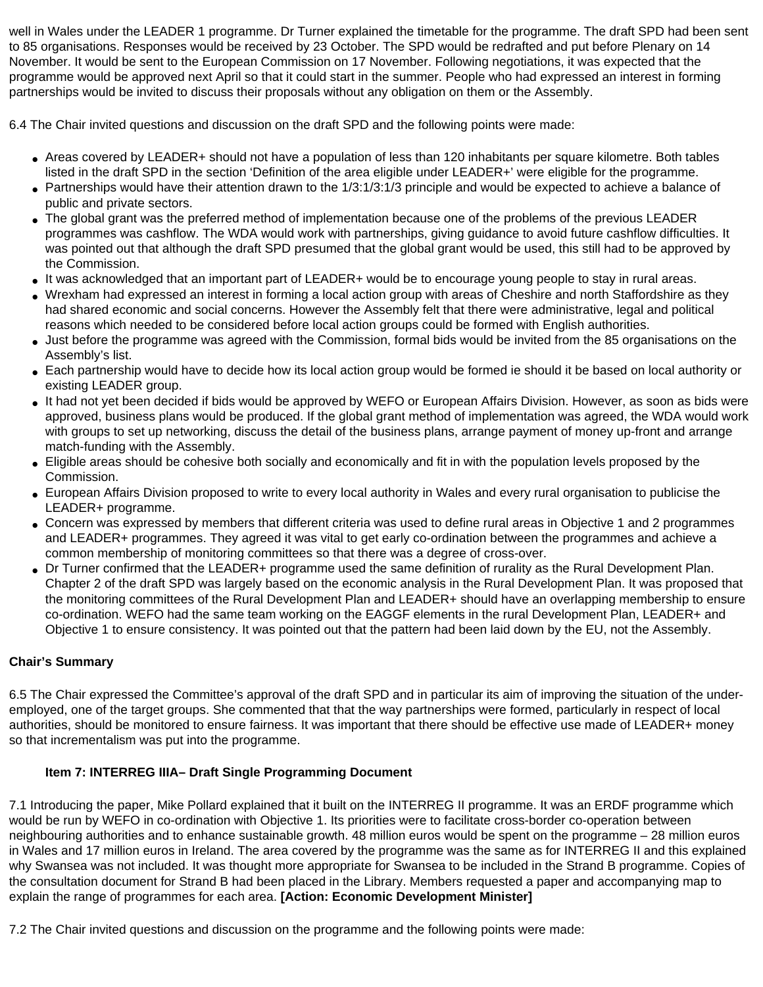well in Wales under the LEADER 1 programme. Dr Turner explained the timetable for the programme. The draft SPD had been sent to 85 organisations. Responses would be received by 23 October. The SPD would be redrafted and put before Plenary on 14 November. It would be sent to the European Commission on 17 November. Following negotiations, it was expected that the programme would be approved next April so that it could start in the summer. People who had expressed an interest in forming partnerships would be invited to discuss their proposals without any obligation on them or the Assembly.

6.4 The Chair invited questions and discussion on the draft SPD and the following points were made:

- Areas covered by LEADER+ should not have a population of less than 120 inhabitants per square kilometre. Both tables listed in the draft SPD in the section 'Definition of the area eligible under LEADER+' were eligible for the programme.
- Partnerships would have their attention drawn to the 1/3:1/3:1/3 principle and would be expected to achieve a balance of public and private sectors.
- The global grant was the preferred method of implementation because one of the problems of the previous LEADER programmes was cashflow. The WDA would work with partnerships, giving guidance to avoid future cashflow difficulties. It was pointed out that although the draft SPD presumed that the global grant would be used, this still had to be approved by the Commission.
- It was acknowledged that an important part of LEADER+ would be to encourage young people to stay in rural areas.
- Wrexham had expressed an interest in forming a local action group with areas of Cheshire and north Staffordshire as they had shared economic and social concerns. However the Assembly felt that there were administrative, legal and political reasons which needed to be considered before local action groups could be formed with English authorities.
- Just before the programme was agreed with the Commission, formal bids would be invited from the 85 organisations on the Assembly's list.
- Each partnership would have to decide how its local action group would be formed ie should it be based on local authority or existing LEADER group.
- It had not yet been decided if bids would be approved by WEFO or European Affairs Division. However, as soon as bids were approved, business plans would be produced. If the global grant method of implementation was agreed, the WDA would work with groups to set up networking, discuss the detail of the business plans, arrange payment of money up-front and arrange match-funding with the Assembly.
- Eligible areas should be cohesive both socially and economically and fit in with the population levels proposed by the Commission.
- European Affairs Division proposed to write to every local authority in Wales and every rural organisation to publicise the LEADER+ programme.
- Concern was expressed by members that different criteria was used to define rural areas in Objective 1 and 2 programmes and LEADER+ programmes. They agreed it was vital to get early co-ordination between the programmes and achieve a common membership of monitoring committees so that there was a degree of cross-over.
- Dr Turner confirmed that the LEADER+ programme used the same definition of rurality as the Rural Development Plan. Chapter 2 of the draft SPD was largely based on the economic analysis in the Rural Development Plan. It was proposed that the monitoring committees of the Rural Development Plan and LEADER+ should have an overlapping membership to ensure co-ordination. WEFO had the same team working on the EAGGF elements in the rural Development Plan, LEADER+ and Objective 1 to ensure consistency. It was pointed out that the pattern had been laid down by the EU, not the Assembly.

# **Chair's Summary**

6.5 The Chair expressed the Committee's approval of the draft SPD and in particular its aim of improving the situation of the underemployed, one of the target groups. She commented that that the way partnerships were formed, particularly in respect of local authorities, should be monitored to ensure fairness. It was important that there should be effective use made of LEADER+ money so that incrementalism was put into the programme.

# **Item 7: INTERREG IIIA– Draft Single Programming Document**

7.1 Introducing the paper, Mike Pollard explained that it built on the INTERREG II programme. It was an ERDF programme which would be run by WEFO in co-ordination with Objective 1. Its priorities were to facilitate cross-border co-operation between neighbouring authorities and to enhance sustainable growth. 48 million euros would be spent on the programme – 28 million euros in Wales and 17 million euros in Ireland. The area covered by the programme was the same as for INTERREG II and this explained why Swansea was not included. It was thought more appropriate for Swansea to be included in the Strand B programme. Copies of the consultation document for Strand B had been placed in the Library. Members requested a paper and accompanying map to explain the range of programmes for each area. **[Action: Economic Development Minister]**

7.2 The Chair invited questions and discussion on the programme and the following points were made: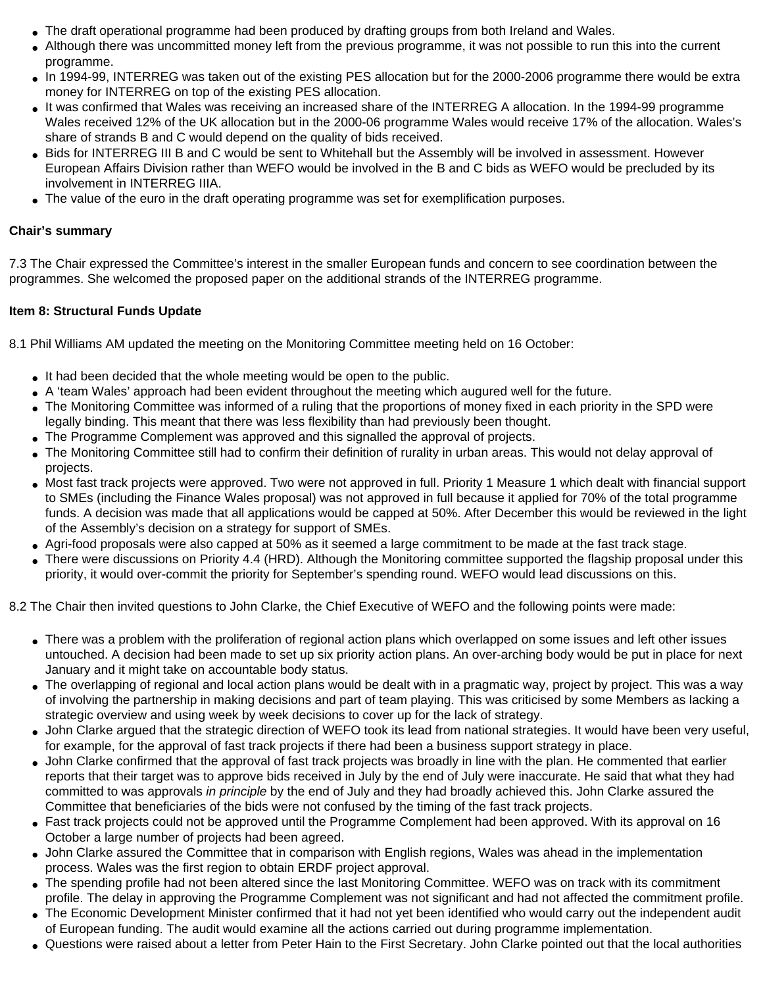- The draft operational programme had been produced by drafting groups from both Ireland and Wales.
- Although there was uncommitted money left from the previous programme, it was not possible to run this into the current programme.
- In 1994-99, INTERREG was taken out of the existing PES allocation but for the 2000-2006 programme there would be extra money for INTERREG on top of the existing PES allocation.
- It was confirmed that Wales was receiving an increased share of the INTERREG A allocation. In the 1994-99 programme Wales received 12% of the UK allocation but in the 2000-06 programme Wales would receive 17% of the allocation. Wales's share of strands B and C would depend on the quality of bids received.
- Bids for INTERREG III B and C would be sent to Whitehall but the Assembly will be involved in assessment. However European Affairs Division rather than WEFO would be involved in the B and C bids as WEFO would be precluded by its involvement in INTERREG IIIA.
- The value of the euro in the draft operating programme was set for exemplification purposes.

### **Chair's summary**

7.3 The Chair expressed the Committee's interest in the smaller European funds and concern to see coordination between the programmes. She welcomed the proposed paper on the additional strands of the INTERREG programme.

## **Item 8: Structural Funds Update**

8.1 Phil Williams AM updated the meeting on the Monitoring Committee meeting held on 16 October:

- It had been decided that the whole meeting would be open to the public.
- A 'team Wales' approach had been evident throughout the meeting which augured well for the future.
- The Monitoring Committee was informed of a ruling that the proportions of money fixed in each priority in the SPD were legally binding. This meant that there was less flexibility than had previously been thought.
- The Programme Complement was approved and this signalled the approval of projects.
- The Monitoring Committee still had to confirm their definition of rurality in urban areas. This would not delay approval of projects.
- Most fast track projects were approved. Two were not approved in full. Priority 1 Measure 1 which dealt with financial support to SMEs (including the Finance Wales proposal) was not approved in full because it applied for 70% of the total programme funds. A decision was made that all applications would be capped at 50%. After December this would be reviewed in the light of the Assembly's decision on a strategy for support of SMEs.
- Agri-food proposals were also capped at 50% as it seemed a large commitment to be made at the fast track stage.
- There were discussions on Priority 4.4 (HRD). Although the Monitoring committee supported the flagship proposal under this priority, it would over-commit the priority for September's spending round. WEFO would lead discussions on this.

8.2 The Chair then invited questions to John Clarke, the Chief Executive of WEFO and the following points were made:

- There was a problem with the proliferation of regional action plans which overlapped on some issues and left other issues untouched. A decision had been made to set up six priority action plans. An over-arching body would be put in place for next January and it might take on accountable body status.
- The overlapping of regional and local action plans would be dealt with in a pragmatic way, project by project. This was a way of involving the partnership in making decisions and part of team playing. This was criticised by some Members as lacking a strategic overview and using week by week decisions to cover up for the lack of strategy.
- John Clarke argued that the strategic direction of WEFO took its lead from national strategies. It would have been very useful, for example, for the approval of fast track projects if there had been a business support strategy in place.
- John Clarke confirmed that the approval of fast track projects was broadly in line with the plan. He commented that earlier reports that their target was to approve bids received in July by the end of July were inaccurate. He said that what they had committed to was approvals *in principle* by the end of July and they had broadly achieved this. John Clarke assured the Committee that beneficiaries of the bids were not confused by the timing of the fast track projects.
- Fast track projects could not be approved until the Programme Complement had been approved. With its approval on 16 October a large number of projects had been agreed.
- John Clarke assured the Committee that in comparison with English regions, Wales was ahead in the implementation process. Wales was the first region to obtain ERDF project approval.
- The spending profile had not been altered since the last Monitoring Committee. WEFO was on track with its commitment profile. The delay in approving the Programme Complement was not significant and had not affected the commitment profile.
- The Economic Development Minister confirmed that it had not yet been identified who would carry out the independent audit of European funding. The audit would examine all the actions carried out during programme implementation.
- Questions were raised about a letter from Peter Hain to the First Secretary. John Clarke pointed out that the local authorities